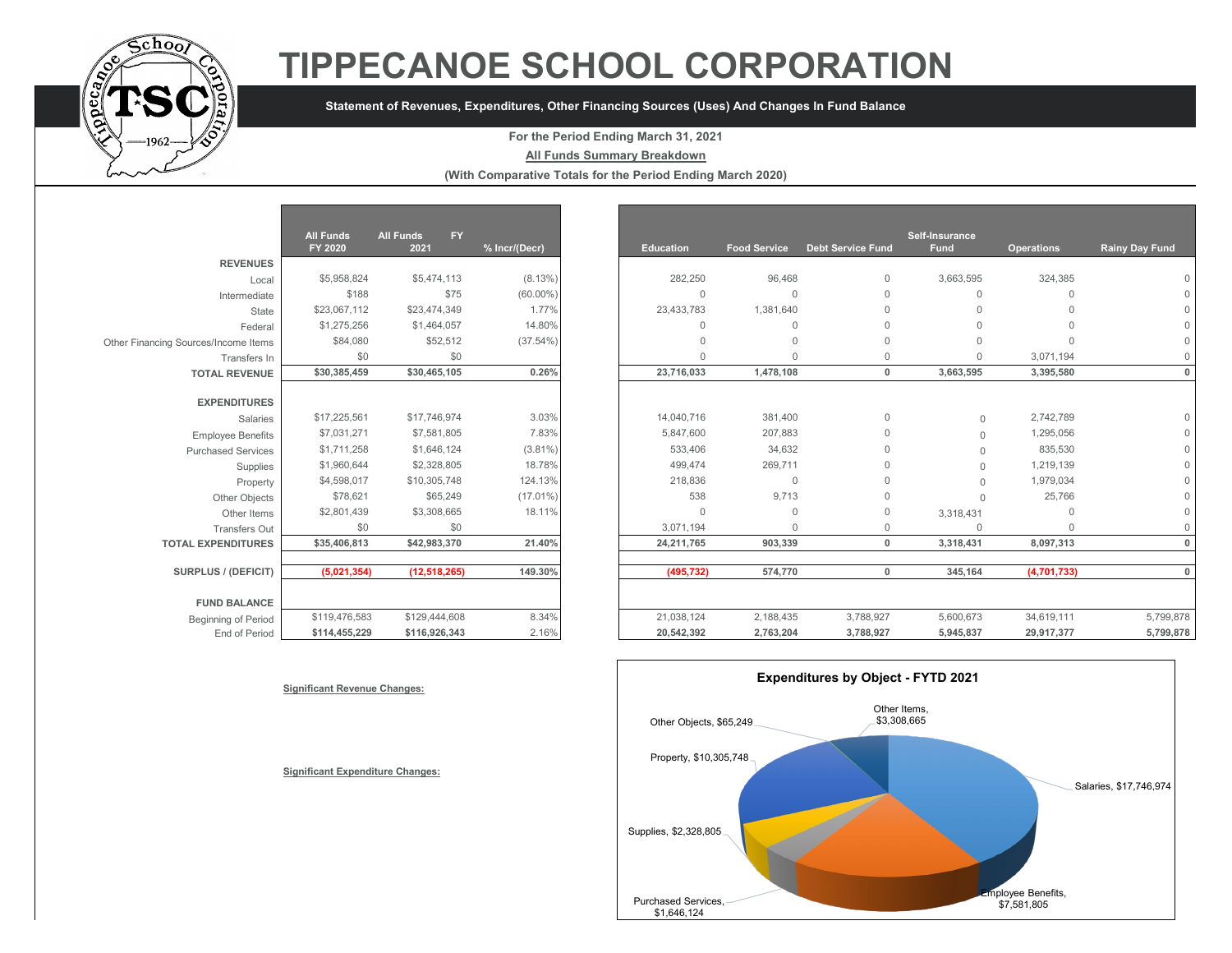

# **TIPPECANOE SCHOOL CORPORATION**

### **Statement of Revenues, Expenditures, Other Financing Sources (Uses) And Changes In Fund Balance**

#### **For the Period Ending March 31, 2021**

**All Funds Summary Breakdown**

**(With Comparative Totals for the Period Ending March 2020)**

|                                                      | <b>All Funds</b><br>FY 2020 | <b>All Funds</b><br><b>FY</b><br>2021 | % Incr/(Decr) |
|------------------------------------------------------|-----------------------------|---------------------------------------|---------------|
| <b>REVENUES</b>                                      |                             |                                       |               |
| Local                                                | \$5,958,824                 | \$5,474,113                           | $(8.13\%)$    |
| Intermediate                                         | \$188                       | \$75                                  | $(60.00\%)$   |
| State                                                | \$23,067,112                | \$23,474,349                          | 1.77%         |
| Federal                                              | \$1,275,256                 | \$1,464,057                           | 14.80%        |
|                                                      | \$84,080                    | \$52,512                              | $(37.54\%)$   |
| Other Financing Sources/Income Items<br>Transfers In | \$0                         | \$0                                   |               |
| <b>TOTAL REVENUE</b>                                 | \$30,385,459                | \$30,465,105                          | 0.26%         |
|                                                      |                             |                                       |               |
| <b>EXPENDITURES</b>                                  |                             |                                       |               |
| Salaries                                             | \$17,225,561                | \$17,746,974                          | 3.03%         |
| <b>Employee Benefits</b>                             | \$7,031,271                 | \$7,581,805                           | 7.83%         |
| <b>Purchased Services</b>                            | \$1,711,258                 | \$1,646,124                           | $(3.81\%)$    |
| Supplies                                             | \$1,960,644                 | \$2,328,805                           | 18.78%        |
| Property                                             | \$4,598,017                 | \$10,305,748                          | 124.13%       |
| Other Objects                                        | \$78,621                    | \$65,249                              | $(17.01\%)$   |
| Other Items                                          | \$2,801,439                 | \$3,308,665                           | 18.11%        |
| Transfers Out                                        | \$0                         | \$0                                   |               |
| <b>TOTAL EXPENDITURES</b>                            | \$35,406,813                | \$42,983,370                          | 21.40%        |
| <b>SURPLUS / (DEFICIT)</b>                           | (5,021,354)                 | (12,518,265)                          | 149.30%       |
|                                                      |                             |                                       |               |
| <b>FUND BALANCE</b>                                  |                             |                                       |               |
| <b>Beginning of Period</b>                           | \$119,476,583               | \$129,444,608                         | 8.34%         |
| End of Period                                        | \$114,455,229               | \$116,926,343                         | 2.16%         |
|                                                      |                             |                                       |               |

|                                      | <b>All Funds</b> | FY.<br><b>All Funds</b> |               |                  |                     |                          | Self-Insurance |                   |                |
|--------------------------------------|------------------|-------------------------|---------------|------------------|---------------------|--------------------------|----------------|-------------------|----------------|
|                                      | FY 2020          | 2021                    | % Incr/(Decr) | <b>Education</b> | <b>Food Service</b> | <b>Debt Service Fund</b> | <b>Fund</b>    | <b>Operations</b> | Rainy Day Fund |
| <b>REVENUES</b>                      |                  |                         |               |                  |                     |                          |                |                   |                |
| Local                                | \$5,958,824      | \$5,474,113             | $(8.13\%)$    | 282,250          | 96,468              | $\mathbf{0}$             | 3,663,595      | 324,385           |                |
| Intermediate                         | \$188            | \$75                    | $(60.00\%)$   | $\Omega$         | $\Omega$            | $\Omega$                 | $\Omega$       | $\Omega$          |                |
| State                                | \$23,067,112     | \$23,474,349            | 1.77%         | 23,433,783       | 1,381,640           | $\Omega$                 |                | $\Omega$          |                |
| Federal                              | \$1,275,256      | \$1,464,057             | 14.80%        | $\Omega$         | $\Omega$            | $\cap$                   |                | $\Omega$          |                |
| Other Financing Sources/Income Items | \$84,080         | \$52,512                | $(37.54\%)$   |                  | $\Omega$            | $\Omega$                 |                | $\cap$            |                |
| Transfers In                         | \$0              | \$0                     |               | $\cap$           | $\cap$              | $\Omega$                 |                | 3,071,194         |                |
| <b>TOTAL REVENUE</b>                 | \$30,385,459     | \$30,465,105            | 0.26%         | 23,716,033       | 1,478,108           | $\mathbf{0}$             | 3,663,595      | 3,395,580         |                |
| <b>EXPENDITURES</b>                  |                  |                         |               |                  |                     |                          |                |                   |                |
| <b>Salaries</b>                      | \$17,225,561     | \$17,746,974            | 3.03%         | 14,040,716       | 381,400             | $\mathbf{0}$             | $\Omega$       | 2,742,789         |                |
| <b>Employee Benefits</b>             | \$7,031,271      | \$7,581,805             | 7.83%         | 5,847,600        | 207,883             | $\Omega$                 | $\cap$         | 1,295,056         |                |
| <b>Purchased Services</b>            | \$1,711,258      | \$1,646,124             | $(3.81\%)$    | 533,406          | 34,632              | $\Omega$                 | $\Omega$       | 835,530           |                |
| Supplies                             | \$1,960,644      | \$2,328,805             | 18.78%        | 499.474          | 269,711             | $\Omega$                 | $\Omega$       | 1,219,139         |                |
| Property                             | \$4,598,017      | \$10,305,748            | 124.13%       | 218,836          | $\Omega$            | $\cap$                   |                | 1,979,034         |                |
| Other Objects                        | \$78,621         | \$65,249                | $(17.01\%)$   | 538              | 9,713               | $\Omega$                 | $\cap$         | 25,766            |                |
| Other Items                          | \$2,801,439      | \$3,308,665             | 18.11%        | $\Omega$         | $\Omega$            | $\Omega$                 | 3,318,431      | $\Omega$          |                |
| <b>Transfers Out</b>                 | \$0              | \$0                     |               | 3,071,194        | $\Omega$            | $\Omega$                 | $\cap$         | $\Omega$          |                |
| <b>TOTAL EXPENDITURES</b>            | \$35,406,813     | \$42,983,370            | 21.40%        | 24,211,765       | 903,339             | $\mathbf 0$              | 3,318,431      | 8,097,313         |                |
| SURPLUS / (DEFICIT)                  | (5,021,354)      | (12, 518, 265)          | 149.30%       | (495, 732)       | 574,770             | $\mathbf 0$              | 345,164        | (4,701,733)       |                |
|                                      |                  |                         |               |                  |                     |                          |                |                   |                |
| <b>FUND BALANCE</b>                  |                  |                         |               |                  |                     |                          |                |                   |                |
| <b>Beginning of Period</b>           | \$119,476,583    | \$129,444,608           | 8.34%         | 21,038,124       | 2,188,435           | 3,788,927                | 5,600,673      | 34,619,111        | 5,799,878      |
| End of Period                        | \$114,455,229    | \$116,926,343           | 2.16%         | 20,542,392       | 2,763,204           | 3,788,927                | 5,945,837      | 29,917,377        | 5,799,878      |



**Significant Revenue Changes:**

**Significant Expenditure Changes:**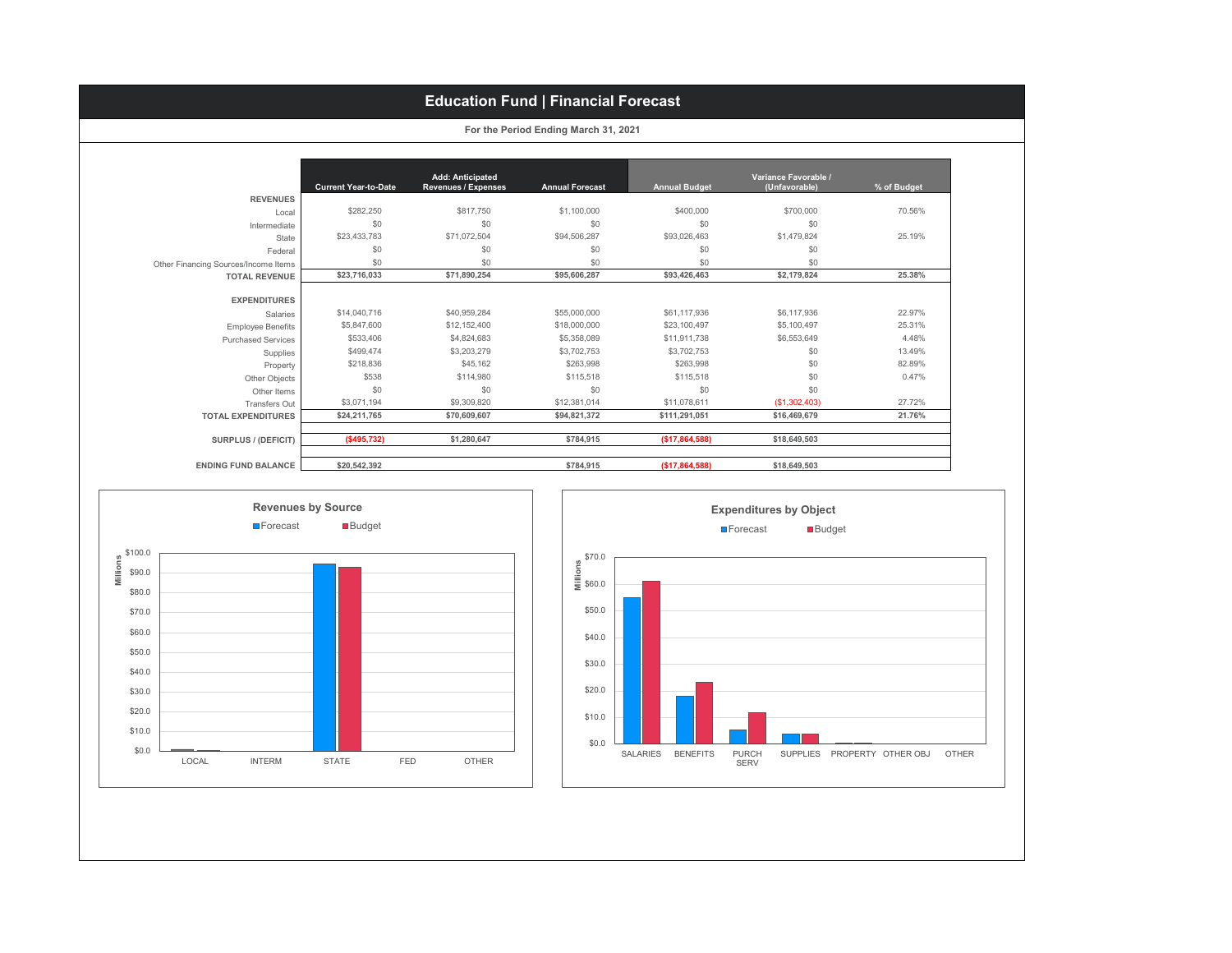## **Education Fund | Financial Forecast**

|  |  | For the Period Ending March 31, 2021 |  |  |  |
|--|--|--------------------------------------|--|--|--|
|--|--|--------------------------------------|--|--|--|

|                                      |                             | <b>Add: Anticipated</b>    |                        |                      | Variance Favorable / |             |
|--------------------------------------|-----------------------------|----------------------------|------------------------|----------------------|----------------------|-------------|
|                                      | <b>Current Year-to-Date</b> | <b>Revenues / Expenses</b> | <b>Annual Forecast</b> | <b>Annual Budget</b> | (Unfavorable)        | % of Budget |
| <b>REVENUES</b>                      |                             |                            |                        |                      |                      |             |
| Local                                | \$282.250                   | \$817,750                  | \$1,100,000            | \$400,000            | \$700,000            | 70.56%      |
| Intermediate                         | \$0                         | \$0                        | \$0                    | \$0                  | \$0                  |             |
| State                                | \$23,433,783                | \$71,072,504               | \$94,506,287           | \$93,026,463         | \$1,479,824          | 25.19%      |
| Federal                              | \$0                         | \$0                        | \$0                    | \$0                  | \$0                  |             |
| Other Financing Sources/Income Items | \$0                         | \$0                        | \$0                    | \$0                  | \$0                  |             |
| <b>TOTAL REVENUE</b>                 | \$23,716,033                | \$71,890,254               | \$95,606,287           | \$93,426,463         | \$2,179,824          | 25.38%      |
|                                      |                             |                            |                        |                      |                      |             |
| <b>EXPENDITURES</b>                  |                             |                            |                        |                      |                      |             |
| Salaries                             | \$14,040,716                | \$40,959,284               | \$55,000,000           | \$61,117,936         | \$6,117,936          | 22.97%      |
| <b>Employee Benefits</b>             | \$5,847,600                 | \$12,152,400               | \$18,000,000           | \$23,100,497         | \$5,100.497          | 25.31%      |
| <b>Purchased Services</b>            | \$533,406                   | \$4,824,683                | \$5,358,089            | \$11,911,738         | \$6,553,649          | 4.48%       |
| Supplies                             | \$499.474                   | \$3,203,279                | \$3,702,753            | \$3,702,753          | \$0                  | 13.49%      |
| Property                             | \$218,836                   | \$45,162                   | \$263,998              | \$263.998            | \$0                  | 82.89%      |
| Other Objects                        | \$538                       | \$114,980                  | \$115,518              | \$115,518            | \$0                  | 0.47%       |
| Other Items                          | \$0                         | \$0                        | \$0                    | \$0                  | \$0                  |             |
| Transfers Out                        | \$3,071,194                 | \$9,309,820                | \$12,381,014           | \$11,078,611         | (\$1,302,403)        | 27.72%      |
| <b>TOTAL EXPENDITURES</b>            | \$24,211,765                | \$70,609,607               | \$94,821,372           | \$111,291,051        | \$16,469,679         | 21.76%      |
| SURPLUS / (DEFICIT)                  | ( \$495, 732)               | \$1,280,647                | \$784.915              | (\$17,864,588)       | \$18,649,503         |             |
| <b>ENDING FUND BALANCE</b>           | \$20,542,392                |                            | \$784,915              | (\$17,864,588)       | \$18,649,503         |             |



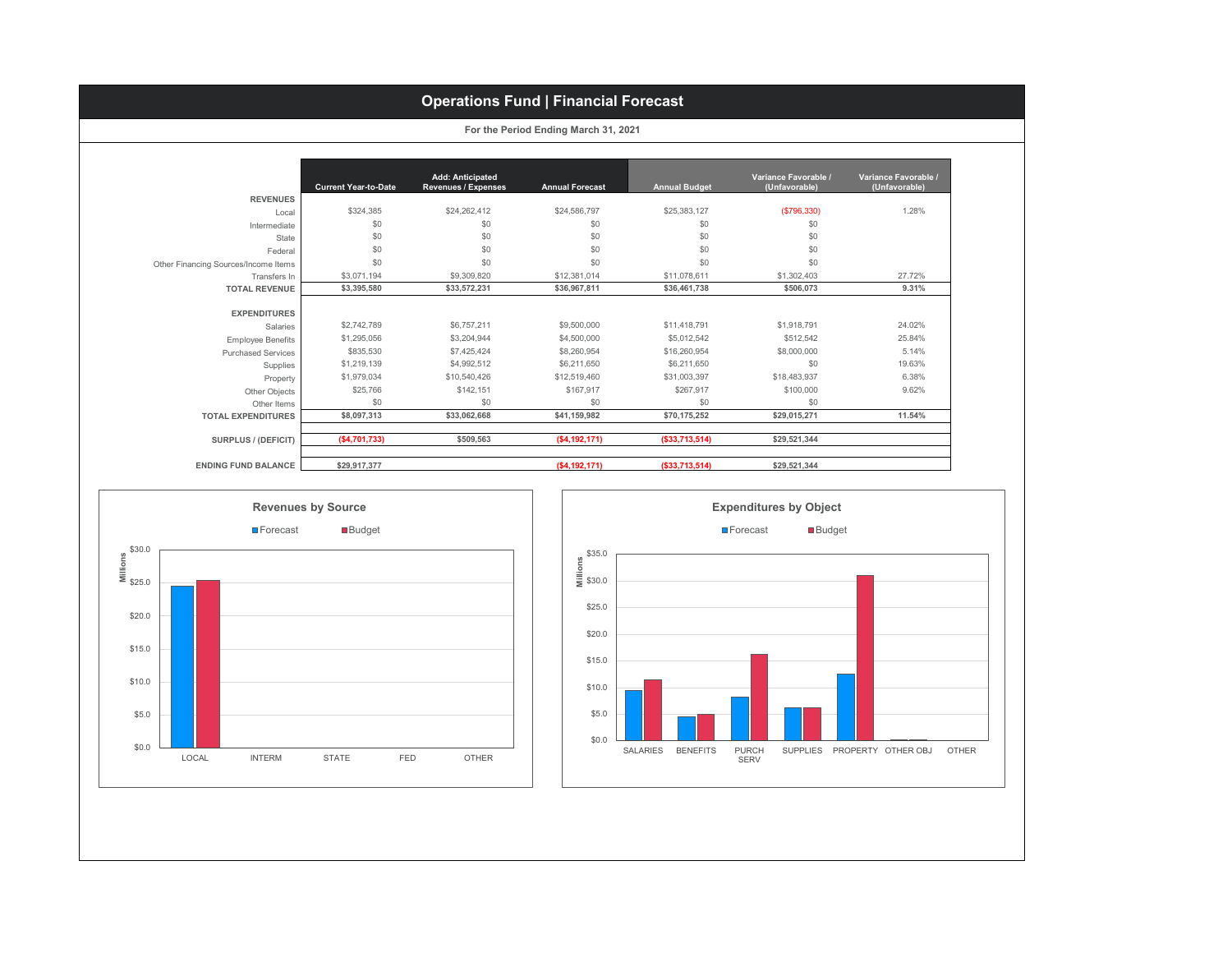#### **Current Year-to-Date Add: Anticipated Revenues / Expenses Annual Forecast Annual Budget Variance Favorable / (Unfavorable) Variance Favorable / (Unfavorable) REVENUES** Local \$324,385 \$24,262,412 \$24,586,797 \$25,383,127 **(\$796,330)** \$24,28% \$24,262,412 Intermediate \$0 \$0 \$0 \$0 \$0 State \$0 \$0 \$0 \$0 \$0 Federal \$0 \$0 \$0 \$0 \$0 Other Financing Sources/Income Items \$0 \$0 \$0 \$0 \$0 Transfers In \$3,071,194 \$9,309,820 \$12,381,014 \$11,078,611 \$1,302,403 27.72% **TOTAL REVENUE \$3,395,580 \$33,572,231 \$36,967,811 \$36,461,738 \$506,073 9.31% EXPENDITURES** Salaries \$2,742,789 \$6,757,211 \$9,500,000 \$11,418,791 \$1,918,791 \$1,918,791 \$24.02% Employee Benefits \$1,295,056 \$3,204,944 \$4,500,000 \$5,012,542 \$512,542 25.84% Purchased Services \$835,530 \$7,425,424 \$8,260,954 \$16,260,954 \$8,000,000 5.14% Supplies \$1,219,139 \$4,992,512 \$6,211,650 \$6,211,650 \$9,2011,650 \$0 \$0 \$0 19.63% Property \$1,979,034 \$10,540,426 \$12,519,460 \$31,003,397 \$18,483,937 6.38% Other Objects | \$25,766 \$142,151 \$167,917 \$267,917 \$100,000 \$267,917 \$100,000 \$262% Other Items \$0 \$0 \$0 \$0 \$0 **TOTAL EXPENDITURES \$8,097,313 \$33,062,668 \$41,159,982 \$70,175,252 \$29,015,271 11.54% Operations Fund | Financial Forecast For the Period Ending March 31, 2021**

**SURPLUS / (DEFICIT) (\$4,701,733) \$509,563 (\$4,192,171) (\$33,713,514) \$29,521,344 ENDING FUND BALANCE \$29,917,377 (\$4,192,171) (\$33,713,514) \$29,521,344**



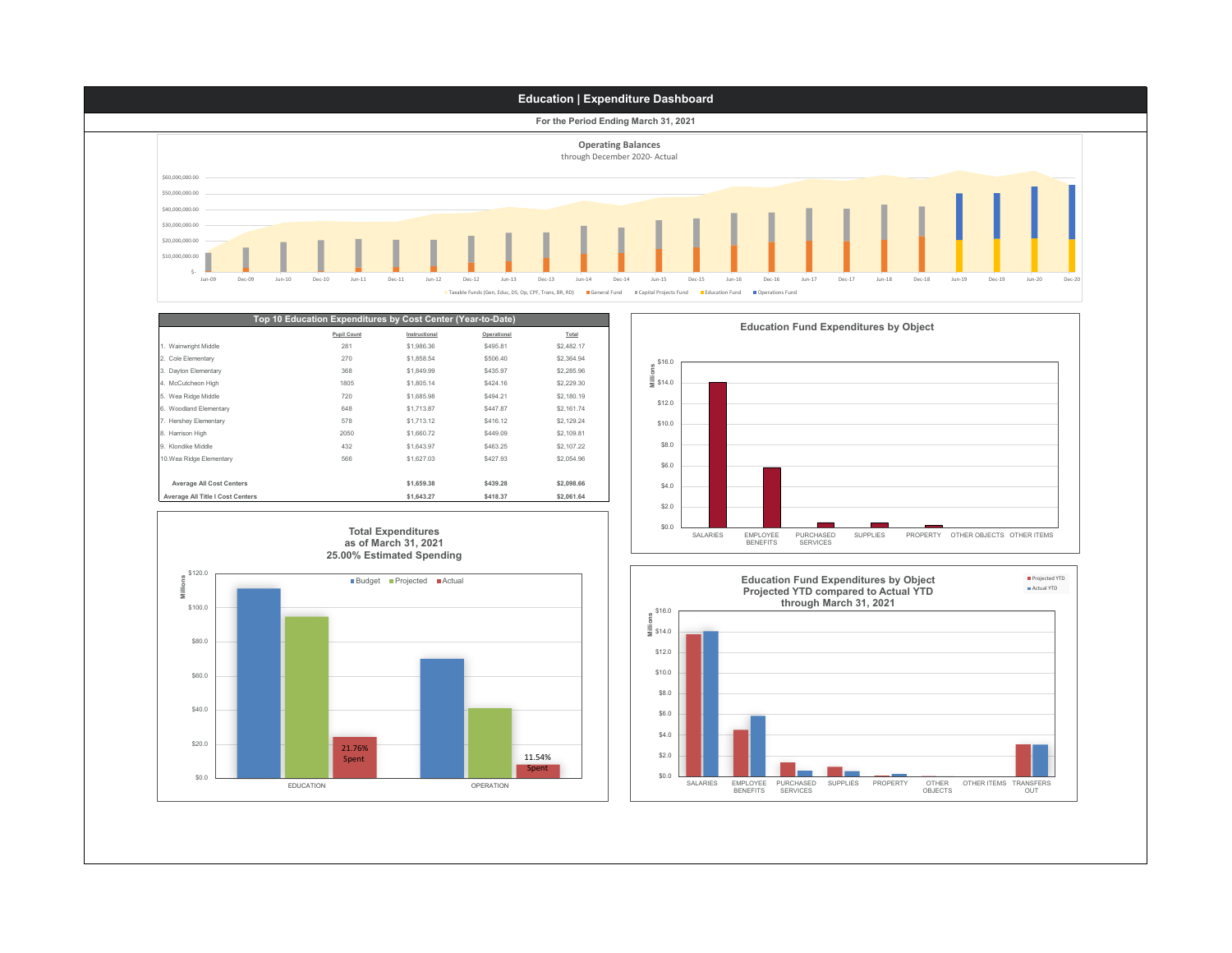

\$0.0

SALARIES EMPLOYEE BENEFITS PURCHASED SERVICES SUPPLIES PROPERTY OTHER<br>OBJECTS

OTHER ITEMS TRANSFERS OUT

Spent

\$0.0

EDUCATION OPERATION